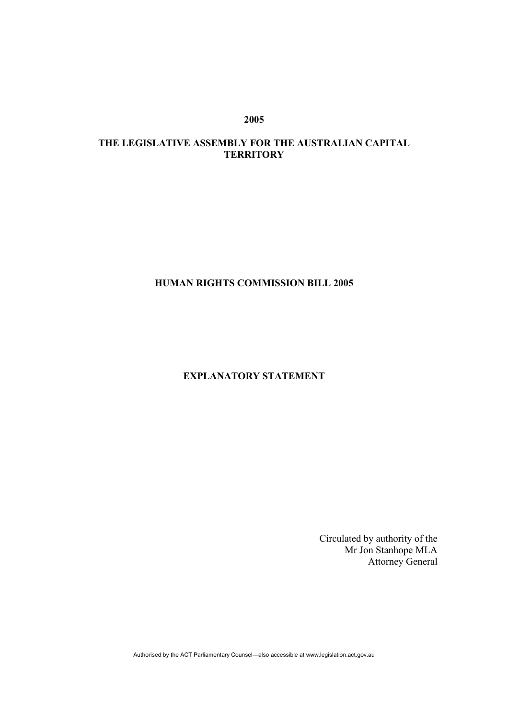**2005** 

# **THE LEGISLATIVE ASSEMBLY FOR THE AUSTRALIAN CAPITAL TERRITORY**

# **HUMAN RIGHTS COMMISSION BILL 2005**

# **EXPLANATORY STATEMENT**

Circulated by authority of the Mr Jon Stanhope MLA Attorney General

Authorised by the ACT Parliamentary Counsel—also accessible at www.legislation.act.gov.au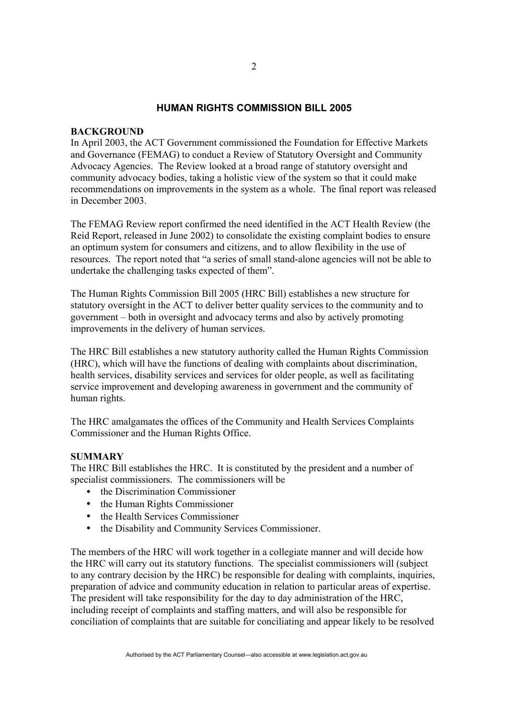# **HUMAN RIGHTS COMMISSION BILL 2005**

## **BACKGROUND**

In April 2003, the ACT Government commissioned the Foundation for Effective Markets and Governance (FEMAG) to conduct a Review of Statutory Oversight and Community Advocacy Agencies. The Review looked at a broad range of statutory oversight and community advocacy bodies, taking a holistic view of the system so that it could make recommendations on improvements in the system as a whole. The final report was released in December 2003.

The FEMAG Review report confirmed the need identified in the ACT Health Review (the Reid Report, released in June 2002) to consolidate the existing complaint bodies to ensure an optimum system for consumers and citizens, and to allow flexibility in the use of resources. The report noted that "a series of small stand-alone agencies will not be able to undertake the challenging tasks expected of them".

The Human Rights Commission Bill 2005 (HRC Bill) establishes a new structure for statutory oversight in the ACT to deliver better quality services to the community and to government – both in oversight and advocacy terms and also by actively promoting improvements in the delivery of human services.

The HRC Bill establishes a new statutory authority called the Human Rights Commission (HRC), which will have the functions of dealing with complaints about discrimination, health services, disability services and services for older people, as well as facilitating service improvement and developing awareness in government and the community of human rights.

The HRC amalgamates the offices of the Community and Health Services Complaints Commissioner and the Human Rights Office.

### **SUMMARY**

The HRC Bill establishes the HRC. It is constituted by the president and a number of specialist commissioners. The commissioners will be

- the Discrimination Commissioner
- the Human Rights Commissioner
- the Health Services Commissioner
- the Disability and Community Services Commissioner.

The members of the HRC will work together in a collegiate manner and will decide how the HRC will carry out its statutory functions. The specialist commissioners will (subject to any contrary decision by the HRC) be responsible for dealing with complaints, inquiries, preparation of advice and community education in relation to particular areas of expertise. The president will take responsibility for the day to day administration of the HRC, including receipt of complaints and staffing matters, and will also be responsible for conciliation of complaints that are suitable for conciliating and appear likely to be resolved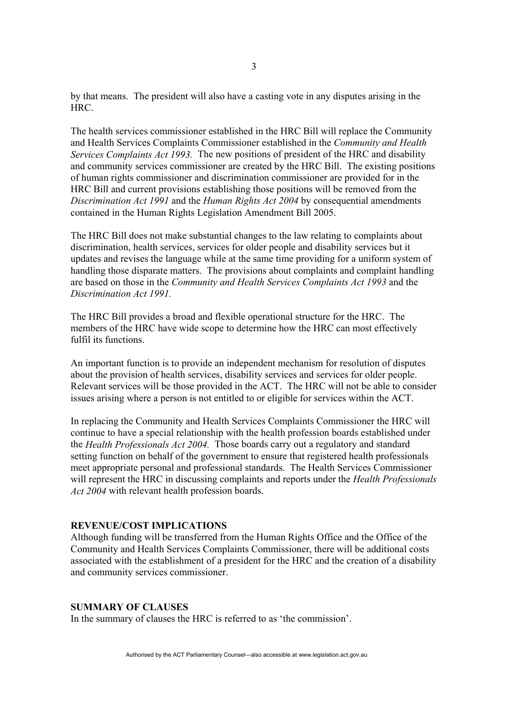by that means. The president will also have a casting vote in any disputes arising in the HRC.

The health services commissioner established in the HRC Bill will replace the Community and Health Services Complaints Commissioner established in the *Community and Health Services Complaints Act 1993.* The new positions of president of the HRC and disability and community services commissioner are created by the HRC Bill. The existing positions of human rights commissioner and discrimination commissioner are provided for in the HRC Bill and current provisions establishing those positions will be removed from the *Discrimination Act 1991* and the *Human Rights Act 2004* by consequential amendments contained in the Human Rights Legislation Amendment Bill 2005.

The HRC Bill does not make substantial changes to the law relating to complaints about discrimination, health services, services for older people and disability services but it updates and revises the language while at the same time providing for a uniform system of handling those disparate matters. The provisions about complaints and complaint handling are based on those in the *Community and Health Services Complaints Act 1993* and the *Discrimination Act 1991.*

The HRC Bill provides a broad and flexible operational structure for the HRC. The members of the HRC have wide scope to determine how the HRC can most effectively fulfil its functions.

An important function is to provide an independent mechanism for resolution of disputes about the provision of health services, disability services and services for older people. Relevant services will be those provided in the ACT. The HRC will not be able to consider issues arising where a person is not entitled to or eligible for services within the ACT.

In replacing the Community and Health Services Complaints Commissioner the HRC will continue to have a special relationship with the health profession boards established under the *Health Professionals Act 2004.* Those boards carry out a regulatory and standard setting function on behalf of the government to ensure that registered health professionals meet appropriate personal and professional standards. The Health Services Commissioner will represent the HRC in discussing complaints and reports under the *Health Professionals Act 2004* with relevant health profession boards.

#### **REVENUE/COST IMPLICATIONS**

Although funding will be transferred from the Human Rights Office and the Office of the Community and Health Services Complaints Commissioner, there will be additional costs associated with the establishment of a president for the HRC and the creation of a disability and community services commissioner.

### **SUMMARY OF CLAUSES**

In the summary of clauses the HRC is referred to as 'the commission'.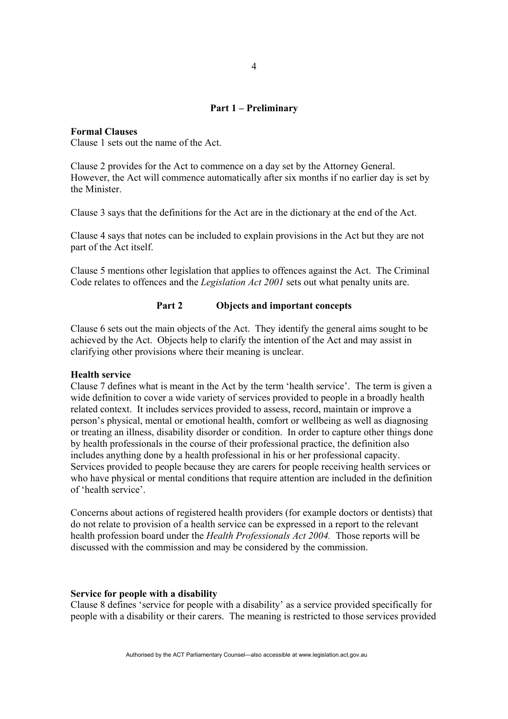# **Part 1 – Preliminary**

**Formal Clauses** 

Clause 1 sets out the name of the Act.

Clause 2 provides for the Act to commence on a day set by the Attorney General. However, the Act will commence automatically after six months if no earlier day is set by the Minister.

Clause 3 says that the definitions for the Act are in the dictionary at the end of the Act.

Clause 4 says that notes can be included to explain provisions in the Act but they are not part of the Act itself.

Clause 5 mentions other legislation that applies to offences against the Act. The Criminal Code relates to offences and the *Legislation Act 2001* sets out what penalty units are.

# **Part 2 Objects and important concepts**

Clause 6 sets out the main objects of the Act. They identify the general aims sought to be achieved by the Act. Objects help to clarify the intention of the Act and may assist in clarifying other provisions where their meaning is unclear.

#### **Health service**

Clause 7 defines what is meant in the Act by the term 'health service'. The term is given a wide definition to cover a wide variety of services provided to people in a broadly health related context. It includes services provided to assess, record, maintain or improve a person's physical, mental or emotional health, comfort or wellbeing as well as diagnosing or treating an illness, disability disorder or condition. In order to capture other things done by health professionals in the course of their professional practice, the definition also includes anything done by a health professional in his or her professional capacity. Services provided to people because they are carers for people receiving health services or who have physical or mental conditions that require attention are included in the definition of 'health service'.

Concerns about actions of registered health providers (for example doctors or dentists) that do not relate to provision of a health service can be expressed in a report to the relevant health profession board under the *Health Professionals Act 2004.* Those reports will be discussed with the commission and may be considered by the commission.

#### **Service for people with a disability**

Clause 8 defines 'service for people with a disability' as a service provided specifically for people with a disability or their carers. The meaning is restricted to those services provided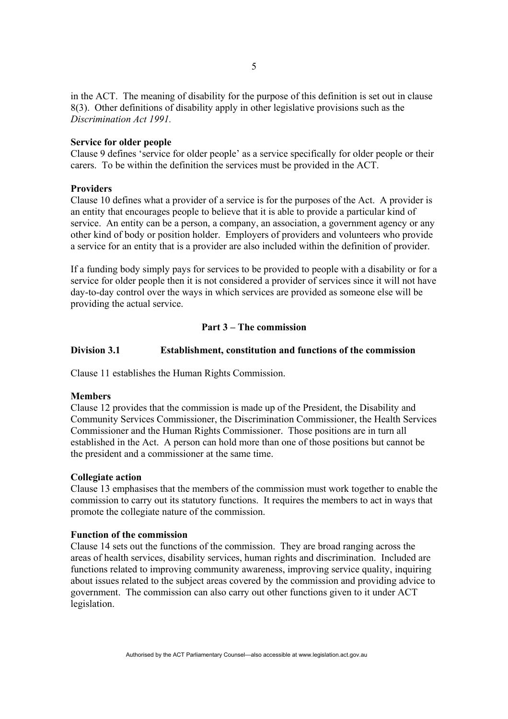in the ACT. The meaning of disability for the purpose of this definition is set out in clause 8(3). Other definitions of disability apply in other legislative provisions such as the *Discrimination Act 1991.* 

#### **Service for older people**

Clause 9 defines 'service for older people' as a service specifically for older people or their carers. To be within the definition the services must be provided in the ACT.

#### **Providers**

Clause 10 defines what a provider of a service is for the purposes of the Act. A provider is an entity that encourages people to believe that it is able to provide a particular kind of service. An entity can be a person, a company, an association, a government agency or any other kind of body or position holder. Employers of providers and volunteers who provide a service for an entity that is a provider are also included within the definition of provider.

If a funding body simply pays for services to be provided to people with a disability or for a service for older people then it is not considered a provider of services since it will not have day-to-day control over the ways in which services are provided as someone else will be providing the actual service.

# **Part 3 – The commission**

# **Division 3.1 Establishment, constitution and functions of the commission**

Clause 11 establishes the Human Rights Commission.

#### **Members**

Clause 12 provides that the commission is made up of the President, the Disability and Community Services Commissioner, the Discrimination Commissioner, the Health Services Commissioner and the Human Rights Commissioner. Those positions are in turn all established in the Act. A person can hold more than one of those positions but cannot be the president and a commissioner at the same time.

#### **Collegiate action**

Clause 13 emphasises that the members of the commission must work together to enable the commission to carry out its statutory functions. It requires the members to act in ways that promote the collegiate nature of the commission.

#### **Function of the commission**

Clause 14 sets out the functions of the commission. They are broad ranging across the areas of health services, disability services, human rights and discrimination. Included are functions related to improving community awareness, improving service quality, inquiring about issues related to the subject areas covered by the commission and providing advice to government. The commission can also carry out other functions given to it under ACT legislation.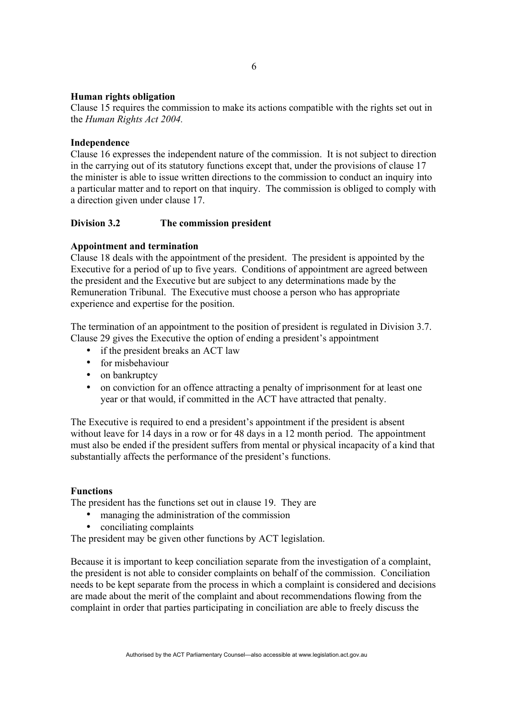# **Human rights obligation**

Clause 15 requires the commission to make its actions compatible with the rights set out in the *Human Rights Act 2004.* 

## **Independence**

Clause 16 expresses the independent nature of the commission. It is not subject to direction in the carrying out of its statutory functions except that, under the provisions of clause 17 the minister is able to issue written directions to the commission to conduct an inquiry into a particular matter and to report on that inquiry. The commission is obliged to comply with a direction given under clause 17.

# **Division 3.2 The commission president**

# **Appointment and termination**

Clause 18 deals with the appointment of the president. The president is appointed by the Executive for a period of up to five years. Conditions of appointment are agreed between the president and the Executive but are subject to any determinations made by the Remuneration Tribunal. The Executive must choose a person who has appropriate experience and expertise for the position.

The termination of an appointment to the position of president is regulated in Division 3.7. Clause 29 gives the Executive the option of ending a president's appointment

- if the president breaks an ACT law
- for misbehaviour
- on bankruptcy
- on conviction for an offence attracting a penalty of imprisonment for at least one year or that would, if committed in the ACT have attracted that penalty.

The Executive is required to end a president's appointment if the president is absent without leave for 14 days in a row or for 48 days in a 12 month period. The appointment must also be ended if the president suffers from mental or physical incapacity of a kind that substantially affects the performance of the president's functions.

### **Functions**

The president has the functions set out in clause 19. They are

- managing the administration of the commission
- conciliating complaints

The president may be given other functions by ACT legislation.

Because it is important to keep conciliation separate from the investigation of a complaint, the president is not able to consider complaints on behalf of the commission. Conciliation needs to be kept separate from the process in which a complaint is considered and decisions are made about the merit of the complaint and about recommendations flowing from the complaint in order that parties participating in conciliation are able to freely discuss the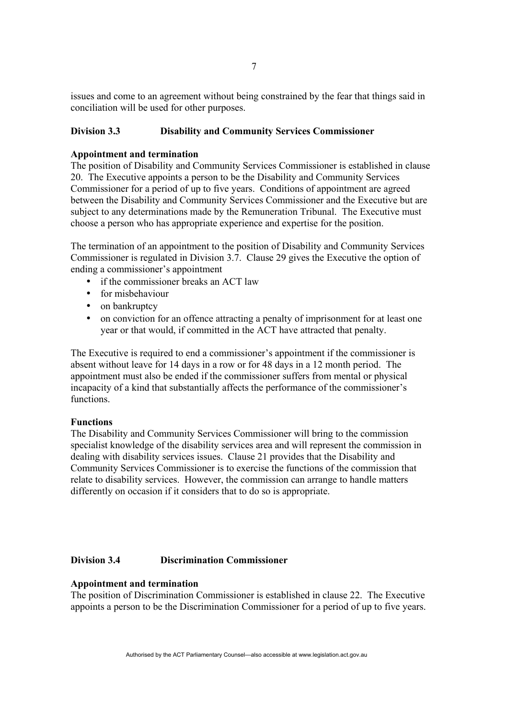issues and come to an agreement without being constrained by the fear that things said in conciliation will be used for other purposes.

## **Division 3.3 Disability and Community Services Commissioner**

#### **Appointment and termination**

The position of Disability and Community Services Commissioner is established in clause 20. The Executive appoints a person to be the Disability and Community Services Commissioner for a period of up to five years. Conditions of appointment are agreed between the Disability and Community Services Commissioner and the Executive but are subject to any determinations made by the Remuneration Tribunal. The Executive must choose a person who has appropriate experience and expertise for the position.

The termination of an appointment to the position of Disability and Community Services Commissioner is regulated in Division 3.7. Clause 29 gives the Executive the option of ending a commissioner's appointment

- if the commissioner breaks an ACT law
- for misbehaviour
- on bankruptcy
- on conviction for an offence attracting a penalty of imprisonment for at least one year or that would, if committed in the ACT have attracted that penalty.

The Executive is required to end a commissioner's appointment if the commissioner is absent without leave for 14 days in a row or for 48 days in a 12 month period. The appointment must also be ended if the commissioner suffers from mental or physical incapacity of a kind that substantially affects the performance of the commissioner's functions.

### **Functions**

The Disability and Community Services Commissioner will bring to the commission specialist knowledge of the disability services area and will represent the commission in dealing with disability services issues. Clause 21 provides that the Disability and Community Services Commissioner is to exercise the functions of the commission that relate to disability services. However, the commission can arrange to handle matters differently on occasion if it considers that to do so is appropriate.

# **Division 3.4 Discrimination Commissioner**

# **Appointment and termination**

The position of Discrimination Commissioner is established in clause 22. The Executive appoints a person to be the Discrimination Commissioner for a period of up to five years.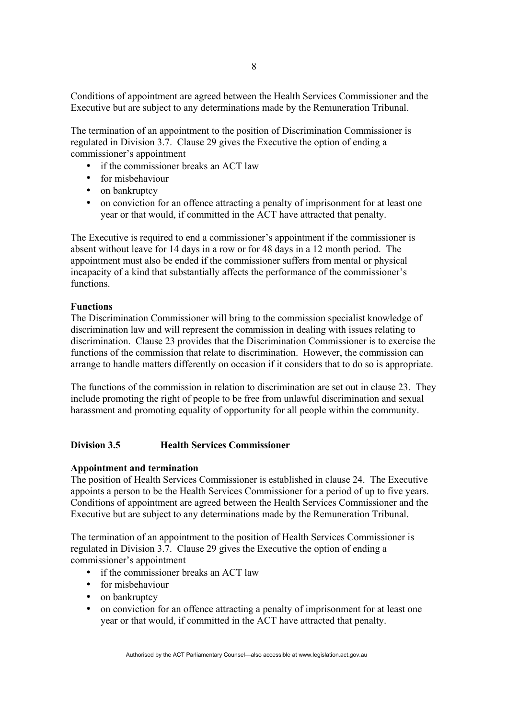Conditions of appointment are agreed between the Health Services Commissioner and the Executive but are subject to any determinations made by the Remuneration Tribunal.

The termination of an appointment to the position of Discrimination Commissioner is regulated in Division 3.7. Clause 29 gives the Executive the option of ending a commissioner's appointment

- if the commissioner breaks an ACT law
- for misbehaviour
- on bankruptcy
- on conviction for an offence attracting a penalty of imprisonment for at least one year or that would, if committed in the ACT have attracted that penalty.

The Executive is required to end a commissioner's appointment if the commissioner is absent without leave for 14 days in a row or for 48 days in a 12 month period. The appointment must also be ended if the commissioner suffers from mental or physical incapacity of a kind that substantially affects the performance of the commissioner's functions.

# **Functions**

The Discrimination Commissioner will bring to the commission specialist knowledge of discrimination law and will represent the commission in dealing with issues relating to discrimination. Clause 23 provides that the Discrimination Commissioner is to exercise the functions of the commission that relate to discrimination. However, the commission can arrange to handle matters differently on occasion if it considers that to do so is appropriate.

The functions of the commission in relation to discrimination are set out in clause 23. They include promoting the right of people to be free from unlawful discrimination and sexual harassment and promoting equality of opportunity for all people within the community.

# **Division 3.5 Health Services Commissioner**

### **Appointment and termination**

The position of Health Services Commissioner is established in clause 24. The Executive appoints a person to be the Health Services Commissioner for a period of up to five years. Conditions of appointment are agreed between the Health Services Commissioner and the Executive but are subject to any determinations made by the Remuneration Tribunal.

The termination of an appointment to the position of Health Services Commissioner is regulated in Division 3.7. Clause 29 gives the Executive the option of ending a commissioner's appointment

- if the commissioner breaks an ACT law
- for misbehaviour
- on bankruptcy
- on conviction for an offence attracting a penalty of imprisonment for at least one year or that would, if committed in the ACT have attracted that penalty.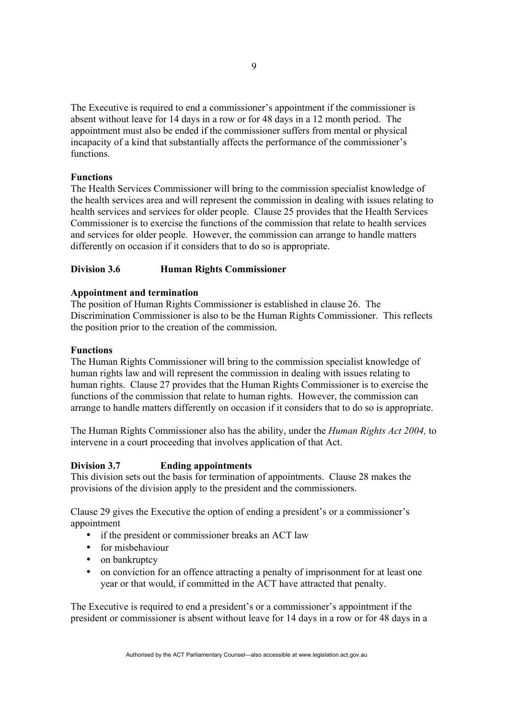The Executive is required to end a commissioner's appointment if the commissioner is absent without leave for 14 days in a row or for 48 days in a 12 month period. The appointment must also be ended if the commissioner suffers from mental or physical incapacity of a kind that substantially affects the performance of the commissioner's functions.

# **Functions**

The Health Services Commissioner will bring to the commission specialist knowledge of the health services area and will represent the commission in dealing with issues relating to health services and services for older people. Clause 25 provides that the Health Services Commissioner is to exercise the functions of the commission that relate to health services and services for older people. However, the commission can arrange to handle matters differently on occasion if it considers that to do so is appropriate.

# **Division 3.6 Human Rights Commissioner**

### **Appointment and termination**

The position of Human Rights Commissioner is established in clause 26. The Discrimination Commissioner is also to be the Human Rights Commissioner. This reflects the position prior to the creation of the commission.

### **Functions**

The Human Rights Commissioner will bring to the commission specialist knowledge of human rights law and will represent the commission in dealing with issues relating to human rights. Clause 27 provides that the Human Rights Commissioner is to exercise the functions of the commission that relate to human rights. However, the commission can arrange to handle matters differently on occasion if it considers that to do so is appropriate.

The Human Rights Commissioner also has the ability, under the *Human Rights Act 2004,* to intervene in a court proceeding that involves application of that Act.

# **Division 3.7 Ending appointments**

This division sets out the basis for termination of appointments. Clause 28 makes the provisions of the division apply to the president and the commissioners.

Clause 29 gives the Executive the option of ending a president's or a commissioner's appointment

- if the president or commissioner breaks an ACT law
- for misbehaviour
- on bankruptcy
- on conviction for an offence attracting a penalty of imprisonment for at least one year or that would, if committed in the ACT have attracted that penalty.

The Executive is required to end a president's or a commissioner's appointment if the president or commissioner is absent without leave for 14 days in a row or for 48 days in a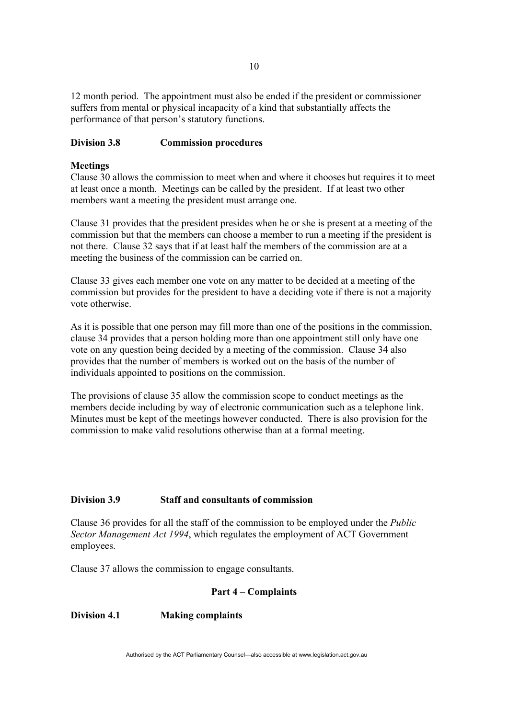12 month period. The appointment must also be ended if the president or commissioner suffers from mental or physical incapacity of a kind that substantially affects the performance of that person's statutory functions.

# **Division 3.8 Commission procedures**

## **Meetings**

Clause 30 allows the commission to meet when and where it chooses but requires it to meet at least once a month. Meetings can be called by the president. If at least two other members want a meeting the president must arrange one.

Clause 31 provides that the president presides when he or she is present at a meeting of the commission but that the members can choose a member to run a meeting if the president is not there. Clause 32 says that if at least half the members of the commission are at a meeting the business of the commission can be carried on.

Clause 33 gives each member one vote on any matter to be decided at a meeting of the commission but provides for the president to have a deciding vote if there is not a majority vote otherwise.

As it is possible that one person may fill more than one of the positions in the commission, clause 34 provides that a person holding more than one appointment still only have one vote on any question being decided by a meeting of the commission. Clause 34 also provides that the number of members is worked out on the basis of the number of individuals appointed to positions on the commission.

The provisions of clause 35 allow the commission scope to conduct meetings as the members decide including by way of electronic communication such as a telephone link. Minutes must be kept of the meetings however conducted. There is also provision for the commission to make valid resolutions otherwise than at a formal meeting.

# **Division 3.9 Staff and consultants of commission**

Clause 36 provides for all the staff of the commission to be employed under the *Public Sector Management Act 1994*, which regulates the employment of ACT Government employees.

Clause 37 allows the commission to engage consultants.

### **Part 4 – Complaints**

# **Division 4.1 Making complaints**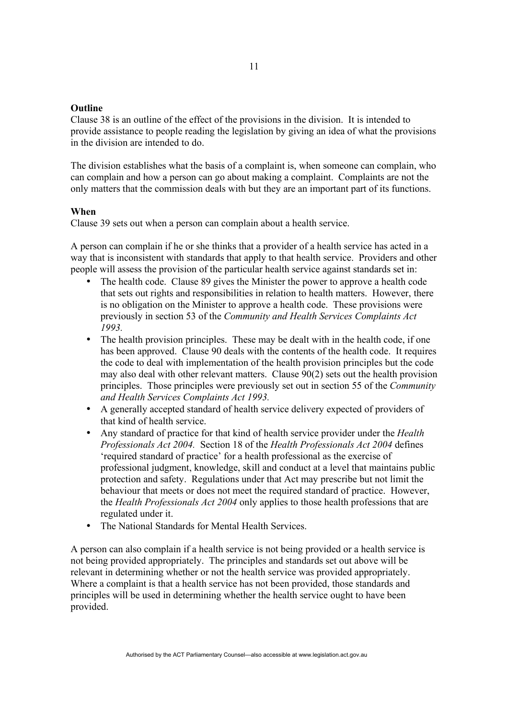## **Outline**

Clause 38 is an outline of the effect of the provisions in the division. It is intended to provide assistance to people reading the legislation by giving an idea of what the provisions in the division are intended to do.

The division establishes what the basis of a complaint is, when someone can complain, who can complain and how a person can go about making a complaint. Complaints are not the only matters that the commission deals with but they are an important part of its functions.

# **When**

Clause 39 sets out when a person can complain about a health service.

A person can complain if he or she thinks that a provider of a health service has acted in a way that is inconsistent with standards that apply to that health service. Providers and other people will assess the provision of the particular health service against standards set in:

- The health code. Clause 89 gives the Minister the power to approve a health code that sets out rights and responsibilities in relation to health matters. However, there is no obligation on the Minister to approve a health code. These provisions were previously in section 53 of the *Community and Health Services Complaints Act 1993.*
- The health provision principles. These may be dealt with in the health code, if one has been approved. Clause 90 deals with the contents of the health code. It requires the code to deal with implementation of the health provision principles but the code may also deal with other relevant matters. Clause 90(2) sets out the health provision principles. Those principles were previously set out in section 55 of the *Community and Health Services Complaints Act 1993.*
- A generally accepted standard of health service delivery expected of providers of that kind of health service.
- Any standard of practice for that kind of health service provider under the *Health Professionals Act 2004.* Section 18 of the *Health Professionals Act 2004* defines 'required standard of practice' for a health professional as the exercise of professional judgment, knowledge, skill and conduct at a level that maintains public protection and safety. Regulations under that Act may prescribe but not limit the behaviour that meets or does not meet the required standard of practice. However, the *Health Professionals Act 2004* only applies to those health professions that are regulated under it.
- The National Standards for Mental Health Services.

A person can also complain if a health service is not being provided or a health service is not being provided appropriately. The principles and standards set out above will be relevant in determining whether or not the health service was provided appropriately. Where a complaint is that a health service has not been provided, those standards and principles will be used in determining whether the health service ought to have been provided.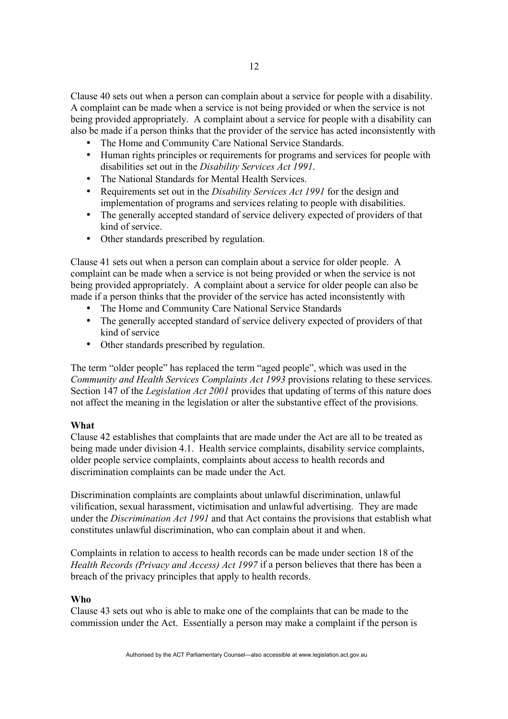Clause 40 sets out when a person can complain about a service for people with a disability. A complaint can be made when a service is not being provided or when the service is not being provided appropriately. A complaint about a service for people with a disability can also be made if a person thinks that the provider of the service has acted inconsistently with

- The Home and Community Care National Service Standards.
- Human rights principles or requirements for programs and services for people with disabilities set out in the *Disability Services Act 1991*.
- The National Standards for Mental Health Services.
- Requirements set out in the *Disability Services Act 1991* for the design and implementation of programs and services relating to people with disabilities.
- The generally accepted standard of service delivery expected of providers of that kind of service.
- Other standards prescribed by regulation.

Clause 41 sets out when a person can complain about a service for older people. A complaint can be made when a service is not being provided or when the service is not being provided appropriately. A complaint about a service for older people can also be made if a person thinks that the provider of the service has acted inconsistently with

- The Home and Community Care National Service Standards
- The generally accepted standard of service delivery expected of providers of that kind of service
- Other standards prescribed by regulation.

The term "older people" has replaced the term "aged people", which was used in the *Community and Health Services Complaints Act 1993* provisions relating to these services. Section 147 of the *Legislation Act 2001* provides that updating of terms of this nature does not affect the meaning in the legislation or alter the substantive effect of the provisions.

## **What**

Clause 42 establishes that complaints that are made under the Act are all to be treated as being made under division 4.1. Health service complaints, disability service complaints, older people service complaints, complaints about access to health records and discrimination complaints can be made under the Act.

Discrimination complaints are complaints about unlawful discrimination, unlawful vilification, sexual harassment, victimisation and unlawful advertising. They are made under the *Discrimination Act 1991* and that Act contains the provisions that establish what constitutes unlawful discrimination, who can complain about it and when.

Complaints in relation to access to health records can be made under section 18 of the *Health Records (Privacy and Access) Act 1997* if a person believes that there has been a breach of the privacy principles that apply to health records.

#### **Who**

Clause 43 sets out who is able to make one of the complaints that can be made to the commission under the Act. Essentially a person may make a complaint if the person is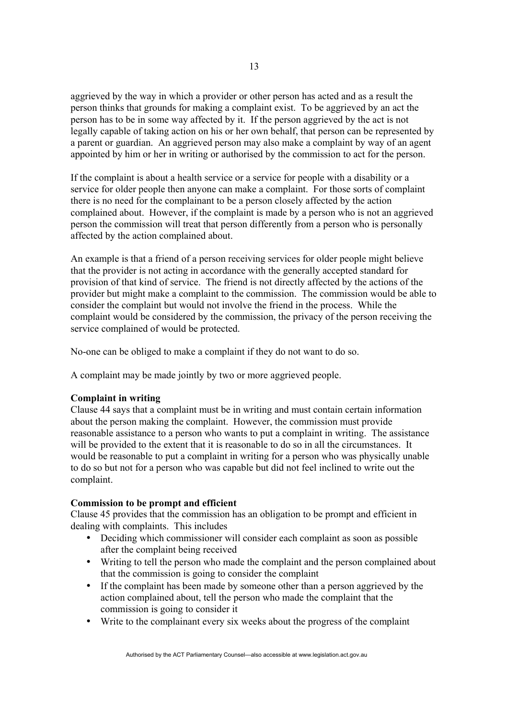aggrieved by the way in which a provider or other person has acted and as a result the person thinks that grounds for making a complaint exist. To be aggrieved by an act the person has to be in some way affected by it. If the person aggrieved by the act is not legally capable of taking action on his or her own behalf, that person can be represented by a parent or guardian. An aggrieved person may also make a complaint by way of an agent appointed by him or her in writing or authorised by the commission to act for the person.

If the complaint is about a health service or a service for people with a disability or a service for older people then anyone can make a complaint. For those sorts of complaint there is no need for the complainant to be a person closely affected by the action complained about. However, if the complaint is made by a person who is not an aggrieved person the commission will treat that person differently from a person who is personally affected by the action complained about.

An example is that a friend of a person receiving services for older people might believe that the provider is not acting in accordance with the generally accepted standard for provision of that kind of service. The friend is not directly affected by the actions of the provider but might make a complaint to the commission. The commission would be able to consider the complaint but would not involve the friend in the process. While the complaint would be considered by the commission, the privacy of the person receiving the service complained of would be protected.

No-one can be obliged to make a complaint if they do not want to do so.

A complaint may be made jointly by two or more aggrieved people.

# **Complaint in writing**

Clause 44 says that a complaint must be in writing and must contain certain information about the person making the complaint. However, the commission must provide reasonable assistance to a person who wants to put a complaint in writing. The assistance will be provided to the extent that it is reasonable to do so in all the circumstances. It would be reasonable to put a complaint in writing for a person who was physically unable to do so but not for a person who was capable but did not feel inclined to write out the complaint.

# **Commission to be prompt and efficient**

Clause 45 provides that the commission has an obligation to be prompt and efficient in dealing with complaints. This includes

- Deciding which commissioner will consider each complaint as soon as possible after the complaint being received
- Writing to tell the person who made the complaint and the person complained about that the commission is going to consider the complaint
- If the complaint has been made by someone other than a person aggrieved by the action complained about, tell the person who made the complaint that the commission is going to consider it
- Write to the complainant every six weeks about the progress of the complaint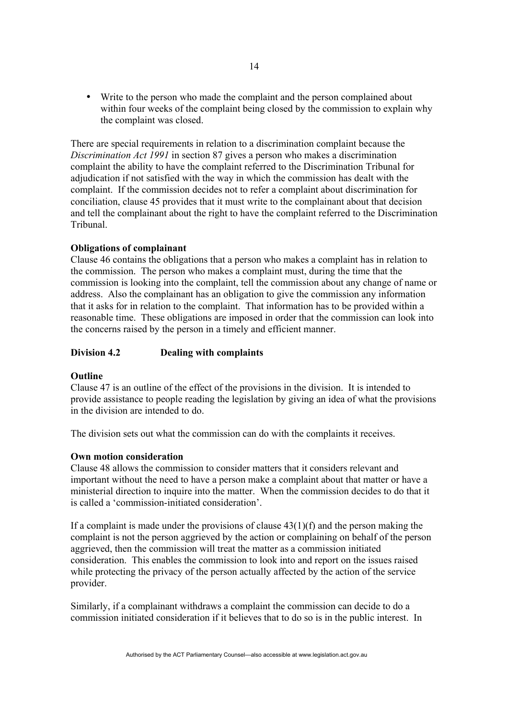• Write to the person who made the complaint and the person complained about within four weeks of the complaint being closed by the commission to explain why the complaint was closed.

There are special requirements in relation to a discrimination complaint because the *Discrimination Act 1991* in section 87 gives a person who makes a discrimination complaint the ability to have the complaint referred to the Discrimination Tribunal for adjudication if not satisfied with the way in which the commission has dealt with the complaint. If the commission decides not to refer a complaint about discrimination for conciliation, clause 45 provides that it must write to the complainant about that decision and tell the complainant about the right to have the complaint referred to the Discrimination Tribunal.

# **Obligations of complainant**

Clause 46 contains the obligations that a person who makes a complaint has in relation to the commission. The person who makes a complaint must, during the time that the commission is looking into the complaint, tell the commission about any change of name or address. Also the complainant has an obligation to give the commission any information that it asks for in relation to the complaint. That information has to be provided within a reasonable time. These obligations are imposed in order that the commission can look into the concerns raised by the person in a timely and efficient manner.

### **Division 4.2 Dealing with complaints**

### **Outline**

Clause 47 is an outline of the effect of the provisions in the division. It is intended to provide assistance to people reading the legislation by giving an idea of what the provisions in the division are intended to do.

The division sets out what the commission can do with the complaints it receives.

### **Own motion consideration**

Clause 48 allows the commission to consider matters that it considers relevant and important without the need to have a person make a complaint about that matter or have a ministerial direction to inquire into the matter. When the commission decides to do that it is called a 'commission-initiated consideration'.

If a complaint is made under the provisions of clause  $43(1)(f)$  and the person making the complaint is not the person aggrieved by the action or complaining on behalf of the person aggrieved, then the commission will treat the matter as a commission initiated consideration. This enables the commission to look into and report on the issues raised while protecting the privacy of the person actually affected by the action of the service provider.

Similarly, if a complainant withdraws a complaint the commission can decide to do a commission initiated consideration if it believes that to do so is in the public interest. In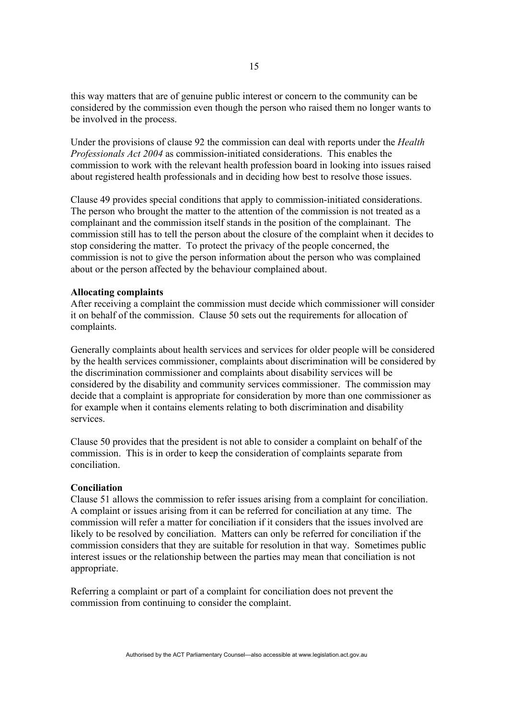this way matters that are of genuine public interest or concern to the community can be considered by the commission even though the person who raised them no longer wants to be involved in the process.

Under the provisions of clause 92 the commission can deal with reports under the *Health Professionals Act 2004* as commission-initiated considerations. This enables the commission to work with the relevant health profession board in looking into issues raised about registered health professionals and in deciding how best to resolve those issues.

Clause 49 provides special conditions that apply to commission-initiated considerations. The person who brought the matter to the attention of the commission is not treated as a complainant and the commission itself stands in the position of the complainant. The commission still has to tell the person about the closure of the complaint when it decides to stop considering the matter. To protect the privacy of the people concerned, the commission is not to give the person information about the person who was complained about or the person affected by the behaviour complained about.

#### **Allocating complaints**

After receiving a complaint the commission must decide which commissioner will consider it on behalf of the commission. Clause 50 sets out the requirements for allocation of complaints.

Generally complaints about health services and services for older people will be considered by the health services commissioner, complaints about discrimination will be considered by the discrimination commissioner and complaints about disability services will be considered by the disability and community services commissioner. The commission may decide that a complaint is appropriate for consideration by more than one commissioner as for example when it contains elements relating to both discrimination and disability services.

Clause 50 provides that the president is not able to consider a complaint on behalf of the commission. This is in order to keep the consideration of complaints separate from conciliation.

#### **Conciliation**

Clause 51 allows the commission to refer issues arising from a complaint for conciliation. A complaint or issues arising from it can be referred for conciliation at any time. The commission will refer a matter for conciliation if it considers that the issues involved are likely to be resolved by conciliation. Matters can only be referred for conciliation if the commission considers that they are suitable for resolution in that way. Sometimes public interest issues or the relationship between the parties may mean that conciliation is not appropriate.

Referring a complaint or part of a complaint for conciliation does not prevent the commission from continuing to consider the complaint.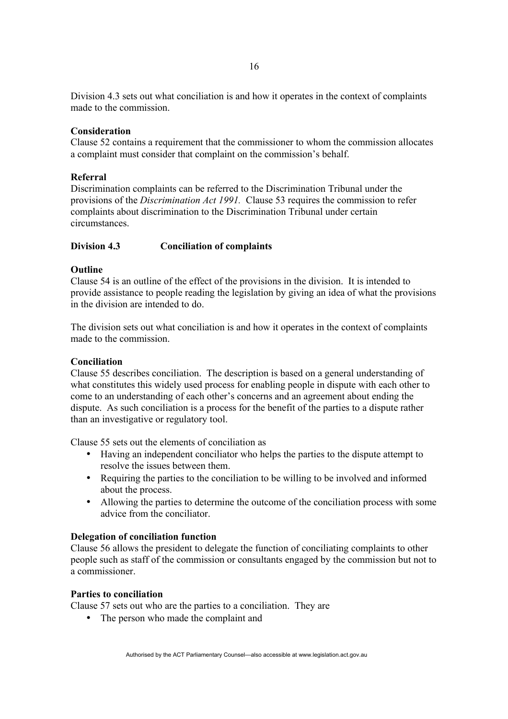Division 4.3 sets out what conciliation is and how it operates in the context of complaints made to the commission.

# **Consideration**

Clause 52 contains a requirement that the commissioner to whom the commission allocates a complaint must consider that complaint on the commission's behalf.

# **Referral**

Discrimination complaints can be referred to the Discrimination Tribunal under the provisions of the *Discrimination Act 1991.* Clause 53 requires the commission to refer complaints about discrimination to the Discrimination Tribunal under certain circumstances.

# **Division 4.3 Conciliation of complaints**

# **Outline**

Clause 54 is an outline of the effect of the provisions in the division. It is intended to provide assistance to people reading the legislation by giving an idea of what the provisions in the division are intended to do.

The division sets out what conciliation is and how it operates in the context of complaints made to the commission.

## **Conciliation**

Clause 55 describes conciliation. The description is based on a general understanding of what constitutes this widely used process for enabling people in dispute with each other to come to an understanding of each other's concerns and an agreement about ending the dispute. As such conciliation is a process for the benefit of the parties to a dispute rather than an investigative or regulatory tool.

Clause 55 sets out the elements of conciliation as

- Having an independent conciliator who helps the parties to the dispute attempt to resolve the issues between them.
- Requiring the parties to the conciliation to be willing to be involved and informed about the process.
- Allowing the parties to determine the outcome of the conciliation process with some advice from the conciliator.

# **Delegation of conciliation function**

Clause 56 allows the president to delegate the function of conciliating complaints to other people such as staff of the commission or consultants engaged by the commission but not to a commissioner.

# **Parties to conciliation**

Clause 57 sets out who are the parties to a conciliation. They are

• The person who made the complaint and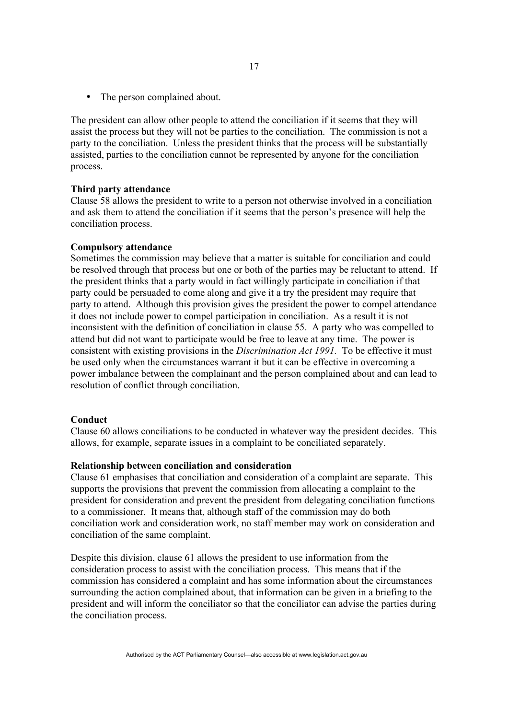• The person complained about.

The president can allow other people to attend the conciliation if it seems that they will assist the process but they will not be parties to the conciliation. The commission is not a party to the conciliation. Unless the president thinks that the process will be substantially assisted, parties to the conciliation cannot be represented by anyone for the conciliation process.

#### **Third party attendance**

Clause 58 allows the president to write to a person not otherwise involved in a conciliation and ask them to attend the conciliation if it seems that the person's presence will help the conciliation process.

#### **Compulsory attendance**

Sometimes the commission may believe that a matter is suitable for conciliation and could be resolved through that process but one or both of the parties may be reluctant to attend. If the president thinks that a party would in fact willingly participate in conciliation if that party could be persuaded to come along and give it a try the president may require that party to attend. Although this provision gives the president the power to compel attendance it does not include power to compel participation in conciliation. As a result it is not inconsistent with the definition of conciliation in clause 55. A party who was compelled to attend but did not want to participate would be free to leave at any time. The power is consistent with existing provisions in the *Discrimination Act 1991.* To be effective it must be used only when the circumstances warrant it but it can be effective in overcoming a power imbalance between the complainant and the person complained about and can lead to resolution of conflict through conciliation.

#### **Conduct**

Clause 60 allows conciliations to be conducted in whatever way the president decides. This allows, for example, separate issues in a complaint to be conciliated separately.

#### **Relationship between conciliation and consideration**

Clause 61 emphasises that conciliation and consideration of a complaint are separate. This supports the provisions that prevent the commission from allocating a complaint to the president for consideration and prevent the president from delegating conciliation functions to a commissioner. It means that, although staff of the commission may do both conciliation work and consideration work, no staff member may work on consideration and conciliation of the same complaint.

Despite this division, clause 61 allows the president to use information from the consideration process to assist with the conciliation process. This means that if the commission has considered a complaint and has some information about the circumstances surrounding the action complained about, that information can be given in a briefing to the president and will inform the conciliator so that the conciliator can advise the parties during the conciliation process.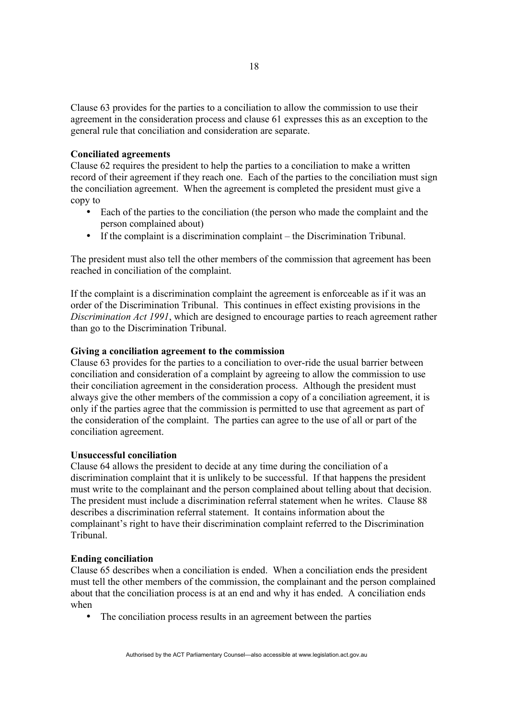Clause 63 provides for the parties to a conciliation to allow the commission to use their agreement in the consideration process and clause 61 expresses this as an exception to the general rule that conciliation and consideration are separate.

### **Conciliated agreements**

Clause 62 requires the president to help the parties to a conciliation to make a written record of their agreement if they reach one. Each of the parties to the conciliation must sign the conciliation agreement. When the agreement is completed the president must give a copy to

- Each of the parties to the conciliation (the person who made the complaint and the person complained about)
- If the complaint is a discrimination complaint the Discrimination Tribunal.

The president must also tell the other members of the commission that agreement has been reached in conciliation of the complaint.

If the complaint is a discrimination complaint the agreement is enforceable as if it was an order of the Discrimination Tribunal. This continues in effect existing provisions in the *Discrimination Act 1991*, which are designed to encourage parties to reach agreement rather than go to the Discrimination Tribunal.

## **Giving a conciliation agreement to the commission**

Clause 63 provides for the parties to a conciliation to over-ride the usual barrier between conciliation and consideration of a complaint by agreeing to allow the commission to use their conciliation agreement in the consideration process. Although the president must always give the other members of the commission a copy of a conciliation agreement, it is only if the parties agree that the commission is permitted to use that agreement as part of the consideration of the complaint. The parties can agree to the use of all or part of the conciliation agreement.

### **Unsuccessful conciliation**

Clause 64 allows the president to decide at any time during the conciliation of a discrimination complaint that it is unlikely to be successful. If that happens the president must write to the complainant and the person complained about telling about that decision. The president must include a discrimination referral statement when he writes. Clause 88 describes a discrimination referral statement. It contains information about the complainant's right to have their discrimination complaint referred to the Discrimination Tribunal.

#### **Ending conciliation**

Clause 65 describes when a conciliation is ended. When a conciliation ends the president must tell the other members of the commission, the complainant and the person complained about that the conciliation process is at an end and why it has ended. A conciliation ends when

• The conciliation process results in an agreement between the parties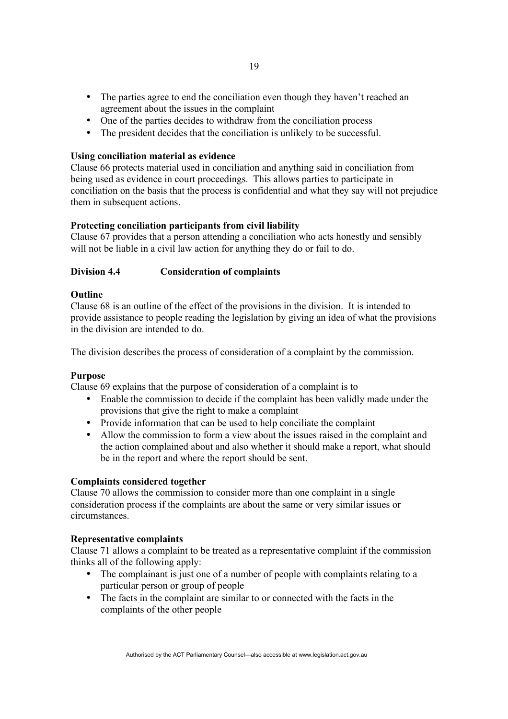- The parties agree to end the conciliation even though they haven't reached an agreement about the issues in the complaint
- One of the parties decides to withdraw from the conciliation process
- The president decides that the conciliation is unlikely to be successful.

# **Using conciliation material as evidence**

Clause 66 protects material used in conciliation and anything said in conciliation from being used as evidence in court proceedings. This allows parties to participate in conciliation on the basis that the process is confidential and what they say will not prejudice them in subsequent actions.

# **Protecting conciliation participants from civil liability**

Clause 67 provides that a person attending a conciliation who acts honestly and sensibly will not be liable in a civil law action for anything they do or fail to do.

# **Division 4.4 Consideration of complaints**

# **Outline**

Clause 68 is an outline of the effect of the provisions in the division. It is intended to provide assistance to people reading the legislation by giving an idea of what the provisions in the division are intended to do.

The division describes the process of consideration of a complaint by the commission.

### **Purpose**

Clause 69 explains that the purpose of consideration of a complaint is to

- Enable the commission to decide if the complaint has been validly made under the provisions that give the right to make a complaint
- Provide information that can be used to help conciliate the complaint
- Allow the commission to form a view about the issues raised in the complaint and the action complained about and also whether it should make a report, what should be in the report and where the report should be sent.

### **Complaints considered together**

Clause 70 allows the commission to consider more than one complaint in a single consideration process if the complaints are about the same or very similar issues or circumstances.

### **Representative complaints**

Clause 71 allows a complaint to be treated as a representative complaint if the commission thinks all of the following apply:

- The complainant is just one of a number of people with complaints relating to a particular person or group of people
- The facts in the complaint are similar to or connected with the facts in the complaints of the other people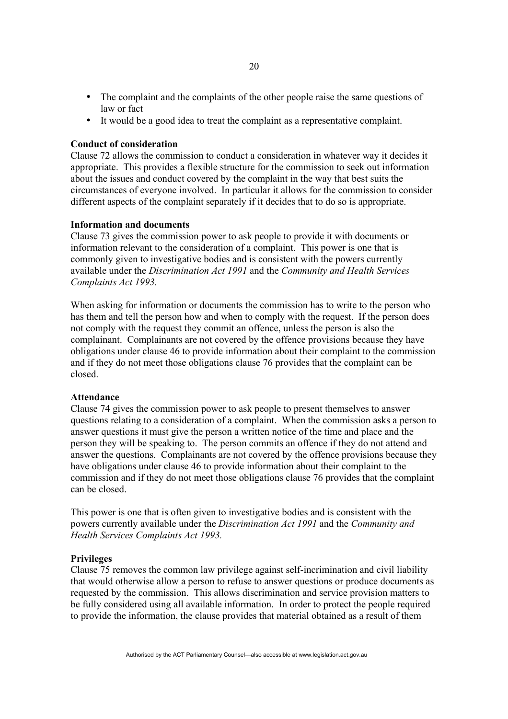- The complaint and the complaints of the other people raise the same questions of law or fact
- It would be a good idea to treat the complaint as a representative complaint.

## **Conduct of consideration**

Clause 72 allows the commission to conduct a consideration in whatever way it decides it appropriate. This provides a flexible structure for the commission to seek out information about the issues and conduct covered by the complaint in the way that best suits the circumstances of everyone involved. In particular it allows for the commission to consider different aspects of the complaint separately if it decides that to do so is appropriate.

### **Information and documents**

Clause 73 gives the commission power to ask people to provide it with documents or information relevant to the consideration of a complaint. This power is one that is commonly given to investigative bodies and is consistent with the powers currently available under the *Discrimination Act 1991* and the *Community and Health Services Complaints Act 1993.*

When asking for information or documents the commission has to write to the person who has them and tell the person how and when to comply with the request. If the person does not comply with the request they commit an offence, unless the person is also the complainant. Complainants are not covered by the offence provisions because they have obligations under clause 46 to provide information about their complaint to the commission and if they do not meet those obligations clause 76 provides that the complaint can be closed.

### **Attendance**

Clause 74 gives the commission power to ask people to present themselves to answer questions relating to a consideration of a complaint. When the commission asks a person to answer questions it must give the person a written notice of the time and place and the person they will be speaking to. The person commits an offence if they do not attend and answer the questions. Complainants are not covered by the offence provisions because they have obligations under clause 46 to provide information about their complaint to the commission and if they do not meet those obligations clause 76 provides that the complaint can be closed.

This power is one that is often given to investigative bodies and is consistent with the powers currently available under the *Discrimination Act 1991* and the *Community and Health Services Complaints Act 1993.*

## **Privileges**

Clause 75 removes the common law privilege against self-incrimination and civil liability that would otherwise allow a person to refuse to answer questions or produce documents as requested by the commission. This allows discrimination and service provision matters to be fully considered using all available information. In order to protect the people required to provide the information, the clause provides that material obtained as a result of them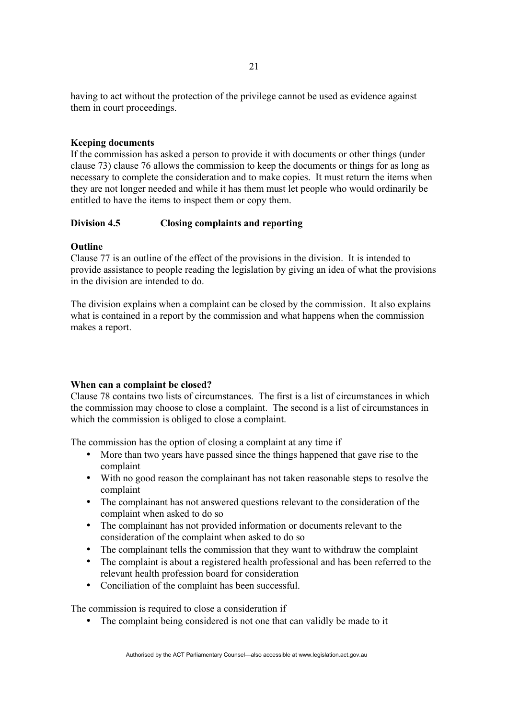having to act without the protection of the privilege cannot be used as evidence against them in court proceedings.

# **Keeping documents**

If the commission has asked a person to provide it with documents or other things (under clause 73) clause 76 allows the commission to keep the documents or things for as long as necessary to complete the consideration and to make copies. It must return the items when they are not longer needed and while it has them must let people who would ordinarily be entitled to have the items to inspect them or copy them.

# **Division 4.5 Closing complaints and reporting**

# **Outline**

Clause 77 is an outline of the effect of the provisions in the division. It is intended to provide assistance to people reading the legislation by giving an idea of what the provisions in the division are intended to do.

The division explains when a complaint can be closed by the commission. It also explains what is contained in a report by the commission and what happens when the commission makes a report.

### **When can a complaint be closed?**

Clause 78 contains two lists of circumstances. The first is a list of circumstances in which the commission may choose to close a complaint. The second is a list of circumstances in which the commission is obliged to close a complaint.

The commission has the option of closing a complaint at any time if

- More than two years have passed since the things happened that gave rise to the complaint
- With no good reason the complainant has not taken reasonable steps to resolve the complaint
- The complainant has not answered questions relevant to the consideration of the complaint when asked to do so
- The complainant has not provided information or documents relevant to the consideration of the complaint when asked to do so
- The complainant tells the commission that they want to withdraw the complaint
- The complaint is about a registered health professional and has been referred to the relevant health profession board for consideration
- Conciliation of the complaint has been successful.

The commission is required to close a consideration if

• The complaint being considered is not one that can validly be made to it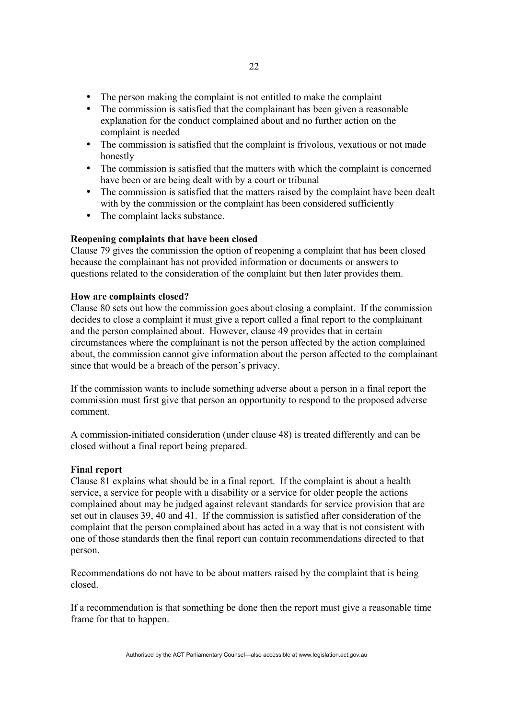- The person making the complaint is not entitled to make the complaint
- The commission is satisfied that the complainant has been given a reasonable explanation for the conduct complained about and no further action on the complaint is needed
- The commission is satisfied that the complaint is frivolous, vexatious or not made honestly
- The commission is satisfied that the matters with which the complaint is concerned have been or are being dealt with by a court or tribunal
- The commission is satisfied that the matters raised by the complaint have been dealt with by the commission or the complaint has been considered sufficiently
- The complaint lacks substance.

### **Reopening complaints that have been closed**

Clause 79 gives the commission the option of reopening a complaint that has been closed because the complainant has not provided information or documents or answers to questions related to the consideration of the complaint but then later provides them.

### **How are complaints closed?**

Clause 80 sets out how the commission goes about closing a complaint. If the commission decides to close a complaint it must give a report called a final report to the complainant and the person complained about. However, clause 49 provides that in certain circumstances where the complainant is not the person affected by the action complained about, the commission cannot give information about the person affected to the complainant since that would be a breach of the person's privacy.

If the commission wants to include something adverse about a person in a final report the commission must first give that person an opportunity to respond to the proposed adverse comment.

A commission-initiated consideration (under clause 48) is treated differently and can be closed without a final report being prepared.

### **Final report**

Clause 81 explains what should be in a final report. If the complaint is about a health service, a service for people with a disability or a service for older people the actions complained about may be judged against relevant standards for service provision that are set out in clauses 39, 40 and 41. If the commission is satisfied after consideration of the complaint that the person complained about has acted in a way that is not consistent with one of those standards then the final report can contain recommendations directed to that person.

Recommendations do not have to be about matters raised by the complaint that is being closed.

If a recommendation is that something be done then the report must give a reasonable time frame for that to happen.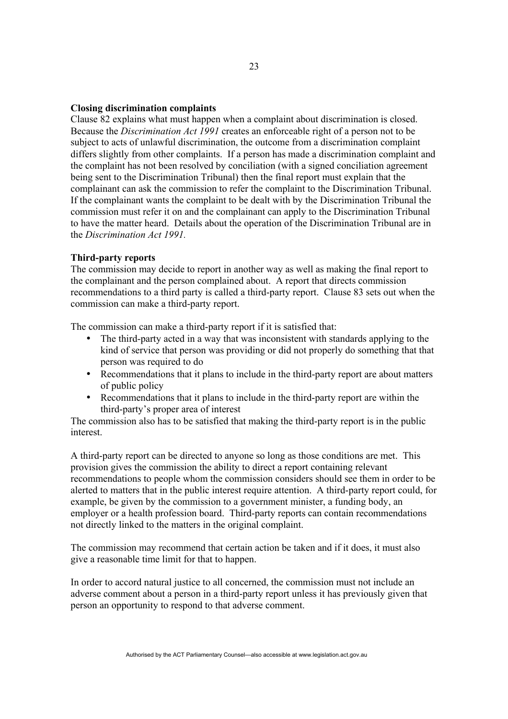## **Closing discrimination complaints**

Clause 82 explains what must happen when a complaint about discrimination is closed. Because the *Discrimination Act 1991* creates an enforceable right of a person not to be subject to acts of unlawful discrimination, the outcome from a discrimination complaint differs slightly from other complaints. If a person has made a discrimination complaint and the complaint has not been resolved by conciliation (with a signed conciliation agreement being sent to the Discrimination Tribunal) then the final report must explain that the complainant can ask the commission to refer the complaint to the Discrimination Tribunal. If the complainant wants the complaint to be dealt with by the Discrimination Tribunal the commission must refer it on and the complainant can apply to the Discrimination Tribunal to have the matter heard. Details about the operation of the Discrimination Tribunal are in the *Discrimination Act 1991.* 

### **Third-party reports**

The commission may decide to report in another way as well as making the final report to the complainant and the person complained about. A report that directs commission recommendations to a third party is called a third-party report. Clause 83 sets out when the commission can make a third-party report.

The commission can make a third-party report if it is satisfied that:

- The third-party acted in a way that was inconsistent with standards applying to the kind of service that person was providing or did not properly do something that that person was required to do
- Recommendations that it plans to include in the third-party report are about matters of public policy
- Recommendations that it plans to include in the third-party report are within the third-party's proper area of interest

The commission also has to be satisfied that making the third-party report is in the public interest.

A third-party report can be directed to anyone so long as those conditions are met. This provision gives the commission the ability to direct a report containing relevant recommendations to people whom the commission considers should see them in order to be alerted to matters that in the public interest require attention. A third-party report could, for example, be given by the commission to a government minister, a funding body, an employer or a health profession board. Third-party reports can contain recommendations not directly linked to the matters in the original complaint.

The commission may recommend that certain action be taken and if it does, it must also give a reasonable time limit for that to happen.

In order to accord natural justice to all concerned, the commission must not include an adverse comment about a person in a third-party report unless it has previously given that person an opportunity to respond to that adverse comment.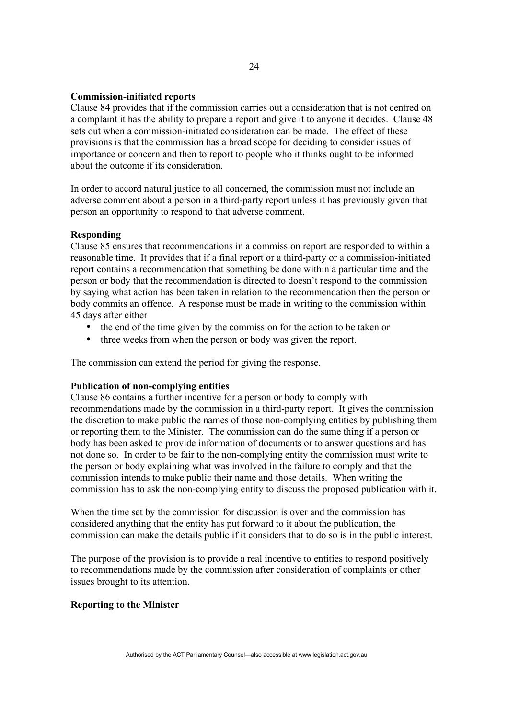## **Commission-initiated reports**

Clause 84 provides that if the commission carries out a consideration that is not centred on a complaint it has the ability to prepare a report and give it to anyone it decides. Clause 48 sets out when a commission-initiated consideration can be made. The effect of these provisions is that the commission has a broad scope for deciding to consider issues of importance or concern and then to report to people who it thinks ought to be informed about the outcome if its consideration.

In order to accord natural justice to all concerned, the commission must not include an adverse comment about a person in a third-party report unless it has previously given that person an opportunity to respond to that adverse comment.

#### **Responding**

Clause 85 ensures that recommendations in a commission report are responded to within a reasonable time. It provides that if a final report or a third-party or a commission-initiated report contains a recommendation that something be done within a particular time and the person or body that the recommendation is directed to doesn't respond to the commission by saying what action has been taken in relation to the recommendation then the person or body commits an offence. A response must be made in writing to the commission within 45 days after either

- the end of the time given by the commission for the action to be taken or
- three weeks from when the person or body was given the report.

The commission can extend the period for giving the response.

### **Publication of non-complying entities**

Clause 86 contains a further incentive for a person or body to comply with recommendations made by the commission in a third-party report. It gives the commission the discretion to make public the names of those non-complying entities by publishing them or reporting them to the Minister. The commission can do the same thing if a person or body has been asked to provide information of documents or to answer questions and has not done so. In order to be fair to the non-complying entity the commission must write to the person or body explaining what was involved in the failure to comply and that the commission intends to make public their name and those details. When writing the commission has to ask the non-complying entity to discuss the proposed publication with it.

When the time set by the commission for discussion is over and the commission has considered anything that the entity has put forward to it about the publication, the commission can make the details public if it considers that to do so is in the public interest.

The purpose of the provision is to provide a real incentive to entities to respond positively to recommendations made by the commission after consideration of complaints or other issues brought to its attention.

# **Reporting to the Minister**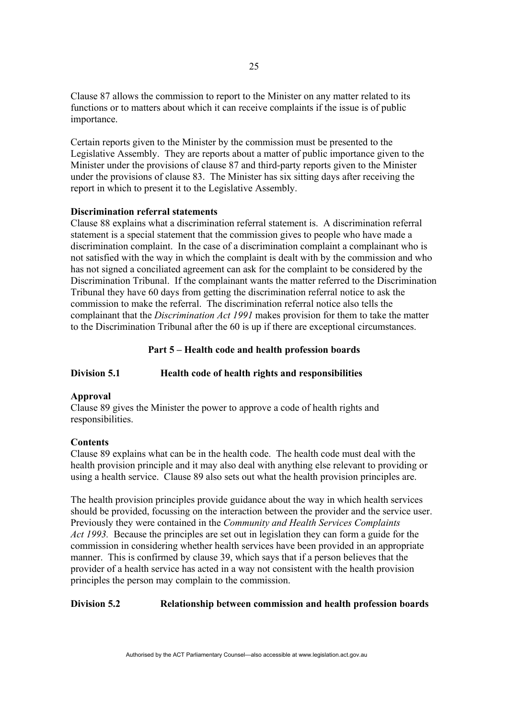Clause 87 allows the commission to report to the Minister on any matter related to its functions or to matters about which it can receive complaints if the issue is of public importance.

Certain reports given to the Minister by the commission must be presented to the Legislative Assembly. They are reports about a matter of public importance given to the Minister under the provisions of clause 87 and third-party reports given to the Minister under the provisions of clause 83. The Minister has six sitting days after receiving the report in which to present it to the Legislative Assembly.

# **Discrimination referral statements**

Clause 88 explains what a discrimination referral statement is. A discrimination referral statement is a special statement that the commission gives to people who have made a discrimination complaint. In the case of a discrimination complaint a complainant who is not satisfied with the way in which the complaint is dealt with by the commission and who has not signed a conciliated agreement can ask for the complaint to be considered by the Discrimination Tribunal. If the complainant wants the matter referred to the Discrimination Tribunal they have 60 days from getting the discrimination referral notice to ask the commission to make the referral. The discrimination referral notice also tells the complainant that the *Discrimination Act 1991* makes provision for them to take the matter to the Discrimination Tribunal after the 60 is up if there are exceptional circumstances.

#### **Part 5 – Health code and health profession boards**

### **Division 5.1 Health code of health rights and responsibilities**

### **Approval**

Clause 89 gives the Minister the power to approve a code of health rights and responsibilities.

## **Contents**

Clause 89 explains what can be in the health code. The health code must deal with the health provision principle and it may also deal with anything else relevant to providing or using a health service. Clause 89 also sets out what the health provision principles are.

The health provision principles provide guidance about the way in which health services should be provided, focussing on the interaction between the provider and the service user. Previously they were contained in the *Community and Health Services Complaints Act 1993.* Because the principles are set out in legislation they can form a guide for the commission in considering whether health services have been provided in an appropriate manner. This is confirmed by clause 39, which says that if a person believes that the provider of a health service has acted in a way not consistent with the health provision principles the person may complain to the commission.

### **Division 5.2 Relationship between commission and health profession boards**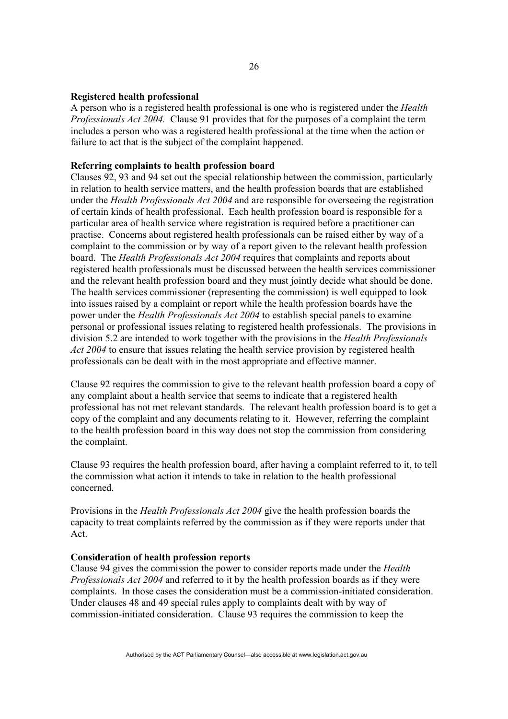### **Registered health professional**

A person who is a registered health professional is one who is registered under the *Health Professionals Act 2004.* Clause 91 provides that for the purposes of a complaint the term includes a person who was a registered health professional at the time when the action or failure to act that is the subject of the complaint happened.

## **Referring complaints to health profession board**

Clauses 92, 93 and 94 set out the special relationship between the commission, particularly in relation to health service matters, and the health profession boards that are established under the *Health Professionals Act 2004* and are responsible for overseeing the registration of certain kinds of health professional. Each health profession board is responsible for a particular area of health service where registration is required before a practitioner can practise. Concerns about registered health professionals can be raised either by way of a complaint to the commission or by way of a report given to the relevant health profession board. The *Health Professionals Act 2004* requires that complaints and reports about registered health professionals must be discussed between the health services commissioner and the relevant health profession board and they must jointly decide what should be done. The health services commissioner (representing the commission) is well equipped to look into issues raised by a complaint or report while the health profession boards have the power under the *Health Professionals Act 2004* to establish special panels to examine personal or professional issues relating to registered health professionals. The provisions in division 5.2 are intended to work together with the provisions in the *Health Professionals Act 2004* to ensure that issues relating the health service provision by registered health professionals can be dealt with in the most appropriate and effective manner.

Clause 92 requires the commission to give to the relevant health profession board a copy of any complaint about a health service that seems to indicate that a registered health professional has not met relevant standards. The relevant health profession board is to get a copy of the complaint and any documents relating to it. However, referring the complaint to the health profession board in this way does not stop the commission from considering the complaint.

Clause 93 requires the health profession board, after having a complaint referred to it, to tell the commission what action it intends to take in relation to the health professional concerned.

Provisions in the *Health Professionals Act 2004* give the health profession boards the capacity to treat complaints referred by the commission as if they were reports under that Act.

### **Consideration of health profession reports**

Clause 94 gives the commission the power to consider reports made under the *Health Professionals Act 2004* and referred to it by the health profession boards as if they were complaints. In those cases the consideration must be a commission-initiated consideration. Under clauses 48 and 49 special rules apply to complaints dealt with by way of commission-initiated consideration. Clause 93 requires the commission to keep the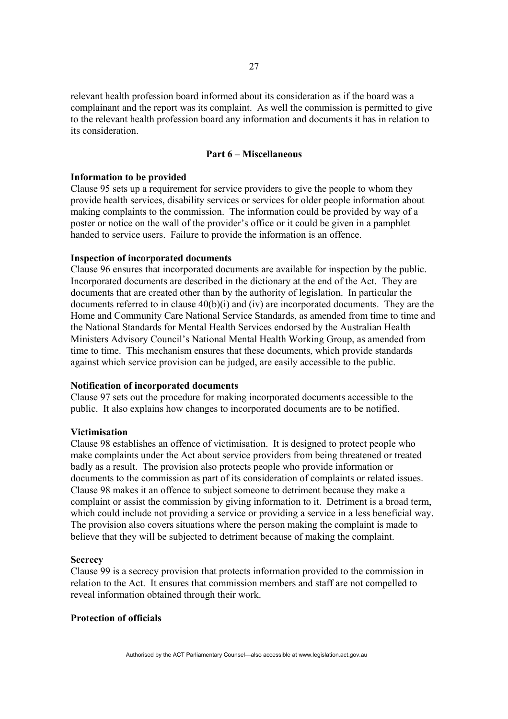relevant health profession board informed about its consideration as if the board was a complainant and the report was its complaint. As well the commission is permitted to give to the relevant health profession board any information and documents it has in relation to its consideration.

# **Part 6 – Miscellaneous**

#### **Information to be provided**

Clause 95 sets up a requirement for service providers to give the people to whom they provide health services, disability services or services for older people information about making complaints to the commission. The information could be provided by way of a poster or notice on the wall of the provider's office or it could be given in a pamphlet handed to service users. Failure to provide the information is an offence.

#### **Inspection of incorporated documents**

Clause 96 ensures that incorporated documents are available for inspection by the public. Incorporated documents are described in the dictionary at the end of the Act. They are documents that are created other than by the authority of legislation. In particular the documents referred to in clause  $40(b)(i)$  and (iv) are incorporated documents. They are the Home and Community Care National Service Standards, as amended from time to time and the National Standards for Mental Health Services endorsed by the Australian Health Ministers Advisory Council's National Mental Health Working Group, as amended from time to time. This mechanism ensures that these documents, which provide standards against which service provision can be judged, are easily accessible to the public.

#### **Notification of incorporated documents**

Clause 97 sets out the procedure for making incorporated documents accessible to the public. It also explains how changes to incorporated documents are to be notified.

#### **Victimisation**

Clause 98 establishes an offence of victimisation. It is designed to protect people who make complaints under the Act about service providers from being threatened or treated badly as a result. The provision also protects people who provide information or documents to the commission as part of its consideration of complaints or related issues. Clause 98 makes it an offence to subject someone to detriment because they make a complaint or assist the commission by giving information to it. Detriment is a broad term, which could include not providing a service or providing a service in a less beneficial way. The provision also covers situations where the person making the complaint is made to believe that they will be subjected to detriment because of making the complaint.

#### **Secrecy**

Clause 99 is a secrecy provision that protects information provided to the commission in relation to the Act. It ensures that commission members and staff are not compelled to reveal information obtained through their work.

# **Protection of officials**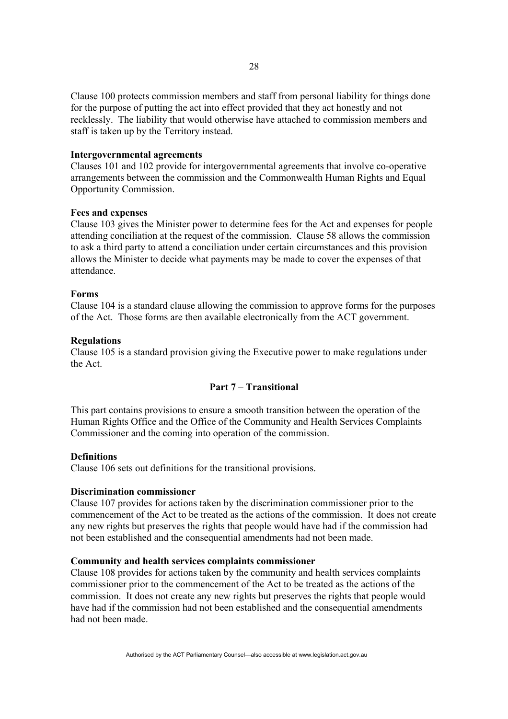Clause 100 protects commission members and staff from personal liability for things done for the purpose of putting the act into effect provided that they act honestly and not recklessly. The liability that would otherwise have attached to commission members and staff is taken up by the Territory instead.

#### **Intergovernmental agreements**

Clauses 101 and 102 provide for intergovernmental agreements that involve co-operative arrangements between the commission and the Commonwealth Human Rights and Equal Opportunity Commission.

#### **Fees and expenses**

Clause 103 gives the Minister power to determine fees for the Act and expenses for people attending conciliation at the request of the commission. Clause 58 allows the commission to ask a third party to attend a conciliation under certain circumstances and this provision allows the Minister to decide what payments may be made to cover the expenses of that attendance.

#### **Forms**

Clause 104 is a standard clause allowing the commission to approve forms for the purposes of the Act. Those forms are then available electronically from the ACT government.

#### **Regulations**

Clause 105 is a standard provision giving the Executive power to make regulations under the Act.

# **Part 7 – Transitional**

This part contains provisions to ensure a smooth transition between the operation of the Human Rights Office and the Office of the Community and Health Services Complaints Commissioner and the coming into operation of the commission.

#### **Definitions**

Clause 106 sets out definitions for the transitional provisions.

### **Discrimination commissioner**

Clause 107 provides for actions taken by the discrimination commissioner prior to the commencement of the Act to be treated as the actions of the commission. It does not create any new rights but preserves the rights that people would have had if the commission had not been established and the consequential amendments had not been made.

## **Community and health services complaints commissioner**

Clause 108 provides for actions taken by the community and health services complaints commissioner prior to the commencement of the Act to be treated as the actions of the commission. It does not create any new rights but preserves the rights that people would have had if the commission had not been established and the consequential amendments had not been made.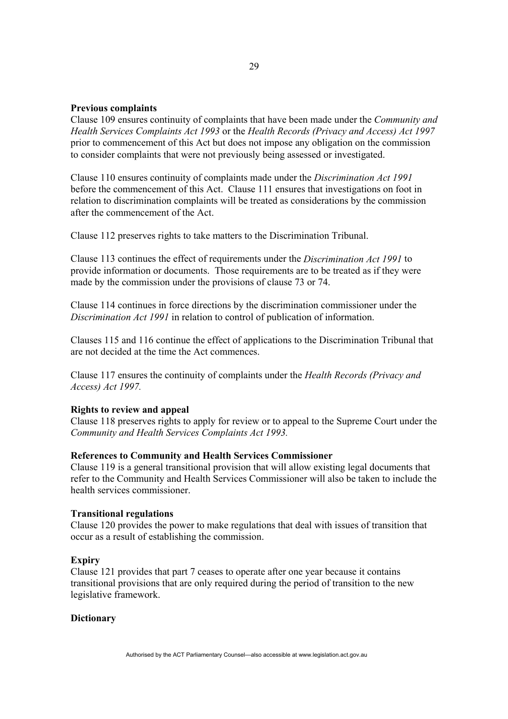## **Previous complaints**

Clause 109 ensures continuity of complaints that have been made under the *Community and Health Services Complaints Act 1993* or the *Health Records (Privacy and Access) Act 1997* prior to commencement of this Act but does not impose any obligation on the commission to consider complaints that were not previously being assessed or investigated.

Clause 110 ensures continuity of complaints made under the *Discrimination Act 1991*  before the commencement of this Act. Clause 111 ensures that investigations on foot in relation to discrimination complaints will be treated as considerations by the commission after the commencement of the Act.

Clause 112 preserves rights to take matters to the Discrimination Tribunal.

Clause 113 continues the effect of requirements under the *Discrimination Act 1991* to provide information or documents. Those requirements are to be treated as if they were made by the commission under the provisions of clause 73 or 74.

Clause 114 continues in force directions by the discrimination commissioner under the *Discrimination Act 1991* in relation to control of publication of information.

Clauses 115 and 116 continue the effect of applications to the Discrimination Tribunal that are not decided at the time the Act commences.

Clause 117 ensures the continuity of complaints under the *Health Records (Privacy and Access) Act 1997.* 

## **Rights to review and appeal**

Clause 118 preserves rights to apply for review or to appeal to the Supreme Court under the *Community and Health Services Complaints Act 1993.* 

#### **References to Community and Health Services Commissioner**

Clause 119 is a general transitional provision that will allow existing legal documents that refer to the Community and Health Services Commissioner will also be taken to include the health services commissioner.

### **Transitional regulations**

Clause 120 provides the power to make regulations that deal with issues of transition that occur as a result of establishing the commission.

#### **Expiry**

Clause 121 provides that part 7 ceases to operate after one year because it contains transitional provisions that are only required during the period of transition to the new legislative framework.

#### **Dictionary**